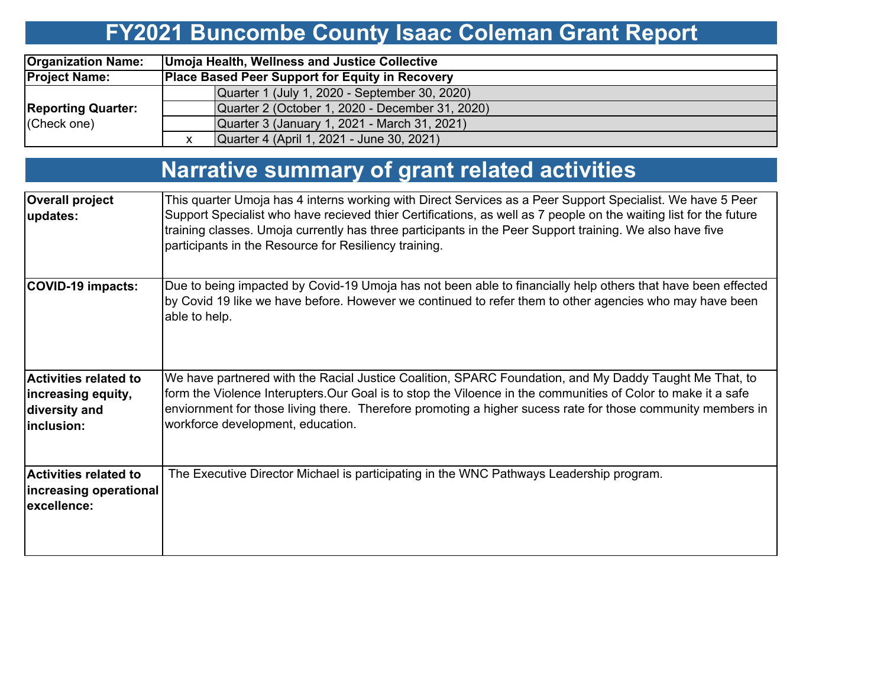# **FY2021 Buncombe County Isaac Coleman Grant Report**

| <b>Organization Name:</b> |                                                        | Umoja Health, Wellness and Justice Collective   |  |  |  |  |  |  |  |  |
|---------------------------|--------------------------------------------------------|-------------------------------------------------|--|--|--|--|--|--|--|--|
| <b>Project Name:</b>      | <b>Place Based Peer Support for Equity in Recovery</b> |                                                 |  |  |  |  |  |  |  |  |
|                           |                                                        | Quarter 1 (July 1, 2020 - September 30, 2020)   |  |  |  |  |  |  |  |  |
| <b>Reporting Quarter:</b> |                                                        | Quarter 2 (October 1, 2020 - December 31, 2020) |  |  |  |  |  |  |  |  |
| (Check one)               |                                                        | Quarter 3 (January 1, 2021 - March 31, 2021)    |  |  |  |  |  |  |  |  |
|                           |                                                        | Quarter 4 (April 1, 2021 - June 30, 2021)       |  |  |  |  |  |  |  |  |

## **Narrative summary of grant related activities**

| <b>Overall project</b><br>updates:                                                | This quarter Umoja has 4 interns working with Direct Services as a Peer Support Specialist. We have 5 Peer<br>Support Specialist who have recieved thier Certifications, as well as 7 people on the waiting list for the future<br>training classes. Umoja currently has three participants in the Peer Support training. We also have five<br>participants in the Resource for Resiliency training. |
|-----------------------------------------------------------------------------------|------------------------------------------------------------------------------------------------------------------------------------------------------------------------------------------------------------------------------------------------------------------------------------------------------------------------------------------------------------------------------------------------------|
| <b>COVID-19 impacts:</b>                                                          | Due to being impacted by Covid-19 Umoja has not been able to financially help others that have been effected<br>by Covid 19 like we have before. However we continued to refer them to other agencies who may have been<br>able to help.                                                                                                                                                             |
| <b>Activities related to</b><br>increasing equity,<br>diversity and<br>inclusion: | We have partnered with the Racial Justice Coalition, SPARC Foundation, and My Daddy Taught Me That, to<br>form the Violence Interupters. Our Goal is to stop the Viloence in the communities of Color to make it a safe<br>enviornment for those living there. Therefore promoting a higher sucess rate for those community members in<br>workforce development, education.                          |
| <b>Activities related to</b><br>increasing operational<br>excellence:             | The Executive Director Michael is participating in the WNC Pathways Leadership program.                                                                                                                                                                                                                                                                                                              |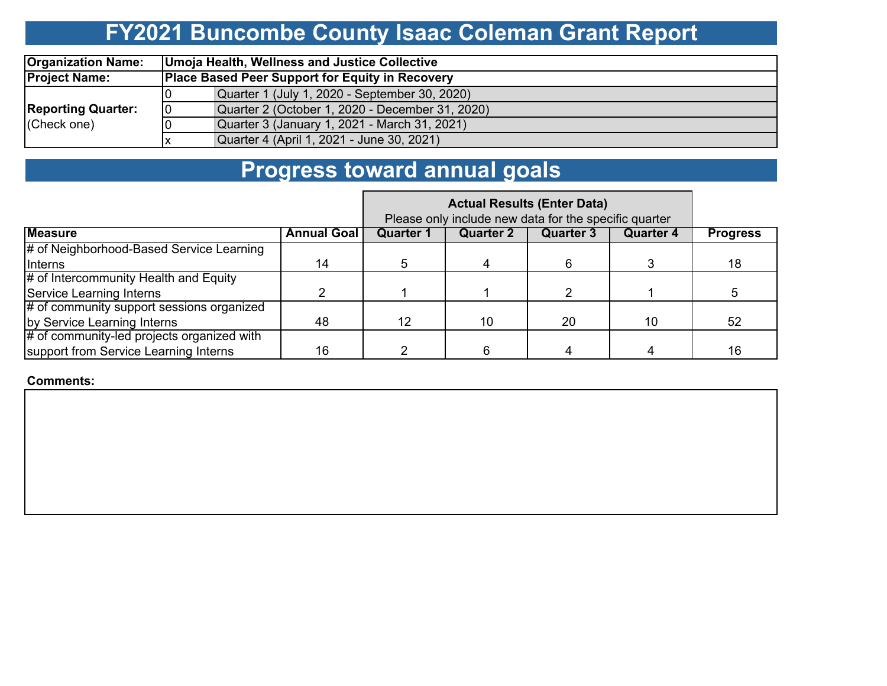# **FY2021 Buncombe County Isaac Coleman Grant Report**

| <b>Organization Name:</b> | Umoja Health, Wellness and Justice Collective          |                                                 |  |  |  |  |  |  |  |  |
|---------------------------|--------------------------------------------------------|-------------------------------------------------|--|--|--|--|--|--|--|--|
| <b>Project Name:</b>      | <b>Place Based Peer Support for Equity in Recovery</b> |                                                 |  |  |  |  |  |  |  |  |
|                           |                                                        | Quarter 1 (July 1, 2020 - September 30, 2020)   |  |  |  |  |  |  |  |  |
| <b>Reporting Quarter:</b> | 10                                                     | Quarter 2 (October 1, 2020 - December 31, 2020) |  |  |  |  |  |  |  |  |
| (Check one)               |                                                        | Quarter 3 (January 1, 2021 - March 31, 2021)    |  |  |  |  |  |  |  |  |
|                           |                                                        | Quarter 4 (April 1, 2021 - June 30, 2021)       |  |  |  |  |  |  |  |  |

## **Progress toward annual goals**

|                                            | Please only include new data for the specific quarter |           |                  |           |                  |                 |
|--------------------------------------------|-------------------------------------------------------|-----------|------------------|-----------|------------------|-----------------|
| <b>Measure</b>                             | <b>Annual Goal</b>                                    | Quarter 1 | <b>Quarter 2</b> | Quarter 3 | <b>Quarter 4</b> | <b>Progress</b> |
| # of Neighborhood-Based Service Learning   |                                                       |           |                  |           |                  |                 |
| Interns                                    | 14                                                    |           |                  | რ.        |                  | 18              |
| # of Intercommunity Health and Equity      |                                                       |           |                  |           |                  |                 |
| Service Learning Interns                   |                                                       |           |                  |           |                  |                 |
| # of community support sessions organized  |                                                       |           |                  |           |                  |                 |
| by Service Learning Interns                | 48                                                    | 12        | 10               | 20        | 10               | 52              |
| # of community-led projects organized with |                                                       |           |                  |           |                  |                 |
| support from Service Learning Interns      | 16                                                    |           |                  |           |                  | 16              |

#### **Comments:**